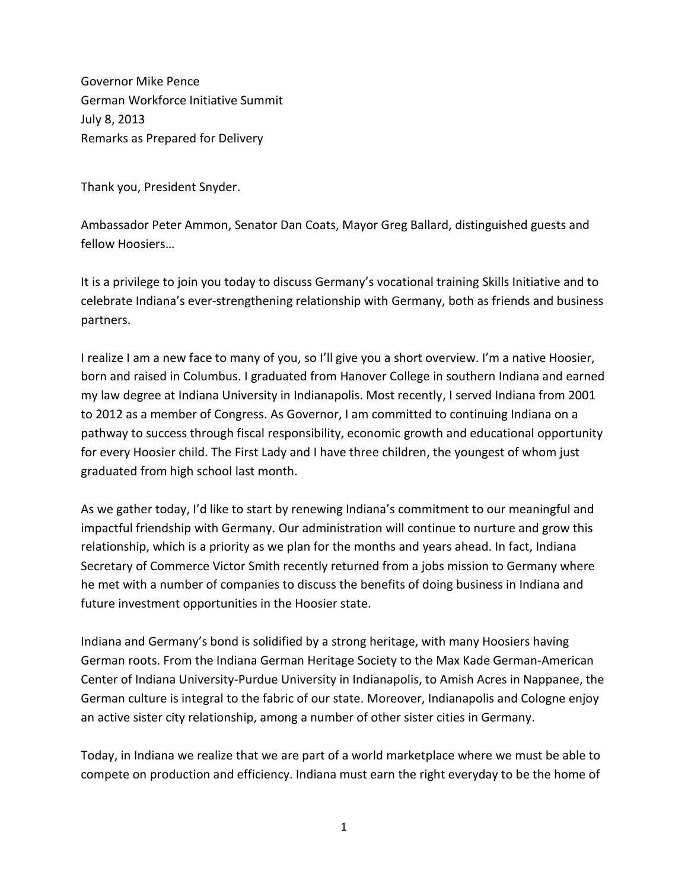Governor Mike Pence German Workforce Initiative Summit July 8, 2013 Remarks as Prepared for Delivery

Thank you, President Snyder.

Ambassador Peter Ammon, Senator Dan Coats, Mayor Greg Ballard, distinguished guests and fellow Hoosiers…

It is a privilege to join you today to discuss Germany's vocational training Skills Initiative and to celebrate Indiana's ever-strengthening relationship with Germany, both as friends and business partners.

I realize I am a new face to many of you, so I'll give you a short overview. I'm a native Hoosier, born and raised in Columbus. I graduated from Hanover College in southern Indiana and earned my law degree at Indiana University in Indianapolis. Most recently, I served Indiana from 2001 to 2012 as a member of Congress. As Governor, I am committed to continuing Indiana on a pathway to success through fiscal responsibility, economic growth and educational opportunity for every Hoosier child. The First Lady and I have three children, the youngest of whom just graduated from high school last month.

As we gather today, I'd like to start by renewing Indiana's commitment to our meaningful and impactful friendship with Germany. Our administration will continue to nurture and grow this relationship, which is a priority as we plan for the months and years ahead. In fact, Indiana Secretary of Commerce Victor Smith recently returned from a jobs mission to Germany where he met with a number of companies to discuss the benefits of doing business in Indiana and future investment opportunities in the Hoosier state.

Indiana and Germany's bond is solidified by a strong heritage, with many Hoosiers having German roots. From the Indiana German Heritage Society to the Max Kade German-American Center of Indiana University-Purdue University in Indianapolis, to Amish Acres in Nappanee, the German culture is integral to the fabric of our state. Moreover, Indianapolis and Cologne enjoy an active sister city relationship, among a number of other sister cities in Germany.

Today, in Indiana we realize that we are part of a world marketplace where we must be able to compete on production and efficiency. Indiana must earn the right everyday to be the home of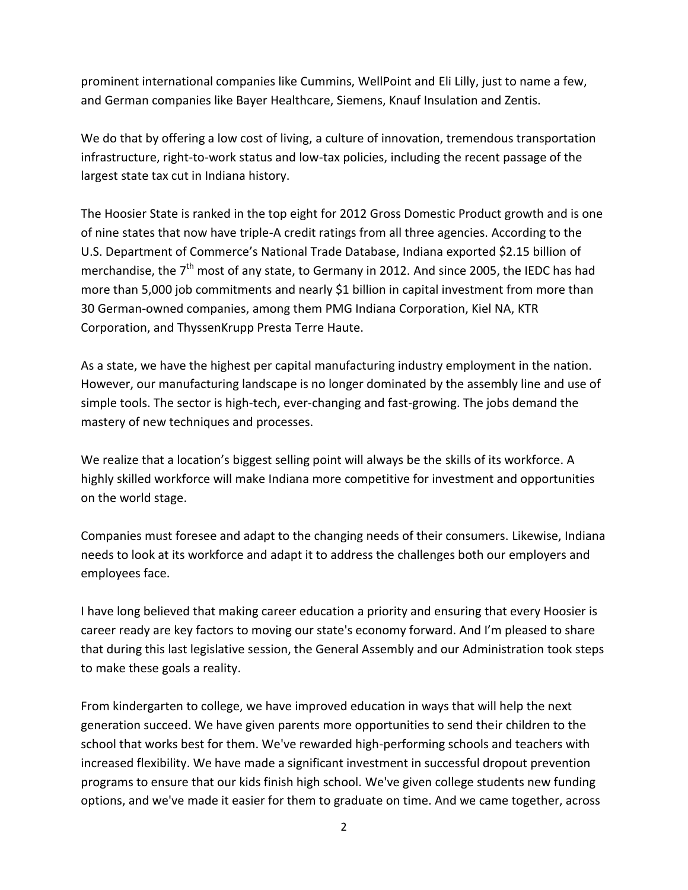prominent international companies like Cummins, WellPoint and Eli Lilly, just to name a few, and German companies like Bayer Healthcare, Siemens, Knauf Insulation and Zentis.

We do that by offering a low cost of living, a culture of innovation, tremendous transportation infrastructure, right-to-work status and low-tax policies, including the recent passage of the largest state tax cut in Indiana history.

The Hoosier State is ranked in the top eight for 2012 Gross Domestic Product growth and is one of nine states that now have triple-A credit ratings from all three agencies. According to the U.S. Department of Commerce's National Trade Database, Indiana exported \$2.15 billion of merchandise, the 7<sup>th</sup> most of any state, to Germany in 2012. And since 2005, the IEDC has had more than 5,000 job commitments and nearly \$1 billion in capital investment from more than 30 German-owned companies, among them PMG Indiana Corporation, Kiel NA, KTR Corporation, and ThyssenKrupp Presta Terre Haute.

As a state, we have the highest per capital manufacturing industry employment in the nation. However, our manufacturing landscape is no longer dominated by the assembly line and use of simple tools. The sector is high-tech, ever-changing and fast-growing. The jobs demand the mastery of new techniques and processes.

We realize that a location's biggest selling point will always be the skills of its workforce. A highly skilled workforce will make Indiana more competitive for investment and opportunities on the world stage.

Companies must foresee and adapt to the changing needs of their consumers. Likewise, Indiana needs to look at its workforce and adapt it to address the challenges both our employers and employees face.

I have long believed that making career education a priority and ensuring that every Hoosier is career ready are key factors to moving our state's economy forward. And I'm pleased to share that during this last legislative session, the General Assembly and our Administration took steps to make these goals a reality.

From kindergarten to college, we have improved education in ways that will help the next generation succeed. We have given parents more opportunities to send their children to the school that works best for them. We've rewarded high-performing schools and teachers with increased flexibility. We have made a significant investment in successful dropout prevention programs to ensure that our kids finish high school. We've given college students new funding options, and we've made it easier for them to graduate on time. And we came together, across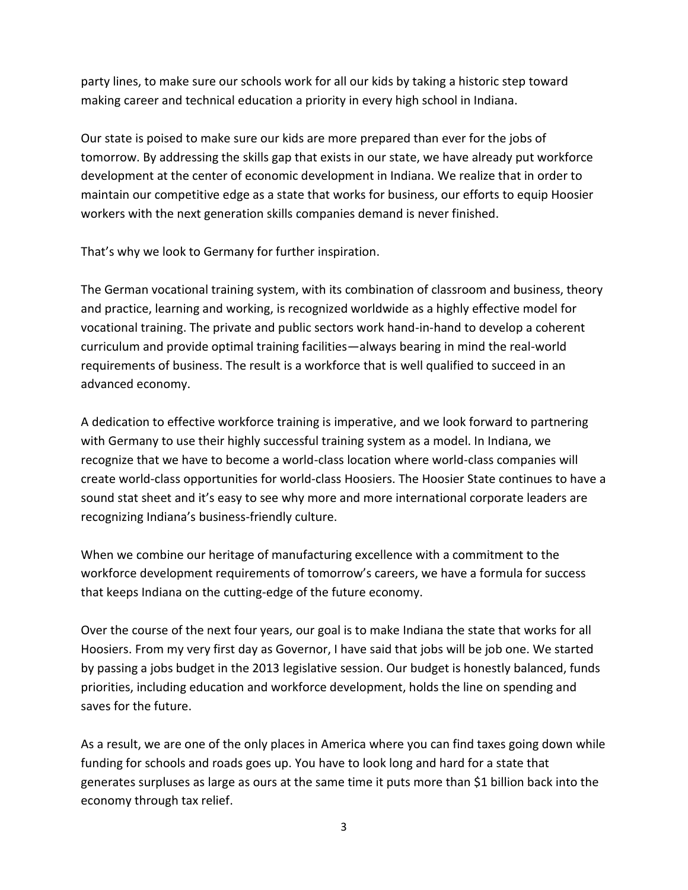party lines, to make sure our schools work for all our kids by taking a historic step toward making career and technical education a priority in every high school in Indiana.

Our state is poised to make sure our kids are more prepared than ever for the jobs of tomorrow. By addressing the skills gap that exists in our state, we have already put workforce development at the center of economic development in Indiana. We realize that in order to maintain our competitive edge as a state that works for business, our efforts to equip Hoosier workers with the next generation skills companies demand is never finished.

That's why we look to Germany for further inspiration.

The German vocational training system, with its combination of classroom and business, theory and practice, learning and working, is recognized worldwide as a highly effective model for vocational training. The private and public sectors work hand-in-hand to develop a coherent curriculum and provide optimal training facilities—always bearing in mind the real-world requirements of business. The result is a workforce that is well qualified to succeed in an advanced economy.

A dedication to effective workforce training is imperative, and we look forward to partnering with Germany to use their highly successful training system as a model. In Indiana, we recognize that we have to become a world-class location where world-class companies will create world-class opportunities for world-class Hoosiers. The Hoosier State continues to have a sound stat sheet and it's easy to see why more and more international corporate leaders are recognizing Indiana's business-friendly culture.

When we combine our heritage of manufacturing excellence with a commitment to the workforce development requirements of tomorrow's careers, we have a formula for success that keeps Indiana on the cutting-edge of the future economy.

Over the course of the next four years, our goal is to make Indiana the state that works for all Hoosiers. From my very first day as Governor, I have said that jobs will be job one. We started by passing a jobs budget in the 2013 legislative session. Our budget is honestly balanced, funds priorities, including education and workforce development, holds the line on spending and saves for the future.

As a result, we are one of the only places in America where you can find taxes going down while funding for schools and roads goes up. You have to look long and hard for a state that generates surpluses as large as ours at the same time it puts more than \$1 billion back into the economy through tax relief.